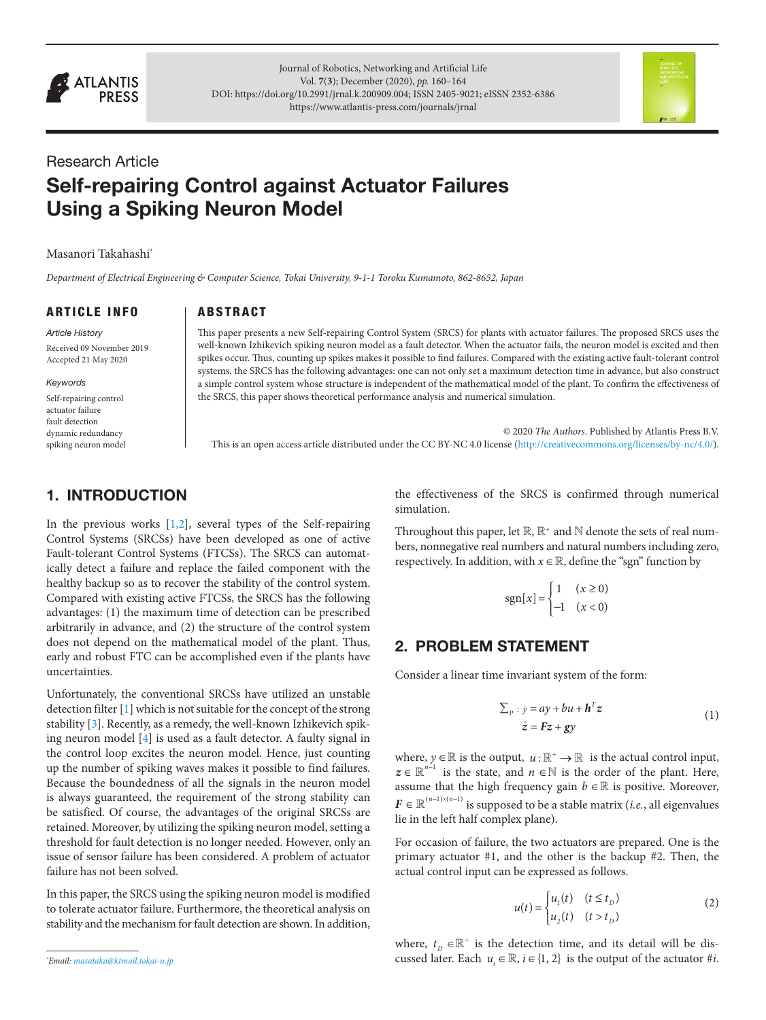

Journal of Robotics, Networking and Artificial Life Vol. **7**(**3**); December (2020), *pp.* 160–164 DOI: [https://doi.org/10.2991/jrnal.k.200909.004;](https://doi.org/10.2991/jrnal.k.200909.004) ISSN 2405-9021; eISSN 2352-6386 <https://www.atlantis-press.com/journals/jrnal>



# Research Article Self-repairing Control against Actuator Failures Using a Spiking Neuron Model

#### Masanori Takahashi\*

*Department of Electrical Engineering & Computer Science, Tokai University, 9-1-1 Toroku Kumamoto, 862-8652, Japan*

ARTICLE INFO

#### ABSTRACT

*Article History* Received 09 November 2019 Accepted 21 May 2020

#### *Keywords*

Self-repairing control actuator failure fault detection dynamic redundancy spiking neuron model This paper presents a new Self-repairing Control System (SRCS) for plants with actuator failures. The proposed SRCS uses the well-known Izhikevich spiking neuron model as a fault detector. When the actuator fails, the neuron model is excited and then spikes occur. Thus, counting up spikes makes it possible to find failures. Compared with the existing active fault-tolerant control systems, the SRCS has the following advantages: one can not only set a maximum detection time in advance, but also construct a simple control system whose structure is independent of the mathematical model of the plant. To confirm the effectiveness of the SRCS, this paper shows theoretical performance analysis and numerical simulation.

© 2020 *The Authors*. Published by Atlantis Press B.V. This is an open access article distributed under the CC BY-NC 4.0 license ([http://creativecommons.org/licenses/by-nc/4.0/\)](http://creativecommons.org/licenses/by-nc/4.0/).

### 1. INTRODUCTION

In the previous works  $[1,2]$  $[1,2]$  $[1,2]$ , several types of the Self-repairing Control Systems (SRCSs) have been developed as one of active Fault-tolerant Control Systems (FTCSs). The SRCS can automatically detect a failure and replace the failed component with the healthy backup so as to recover the stability of the control system. Compared with existing active FTCSs, the SRCS has the following advantages: (1) the maximum time of detection can be prescribed arbitrarily in advance, and (2) the structure of the control system does not depend on the mathematical model of the plant. Thus, early and robust FTC can be accomplished even if the plants have uncertainties.

<span id="page-0-2"></span>Unfortunately, the conventional SRCSs have utilized an unstable detection filter [\[1\]](#page-3-0) which is not suitable for the concept of the strong stability [\[3\]](#page-3-2). Recently, as a remedy, the well-known Izhikevich spiking neuron model [[4](#page-3-3)] is used as a fault detector. A faulty signal in the control loop excites the neuron model. Hence, just counting up the number of spiking waves makes it possible to find failures. Because the boundedness of all the signals in the neuron model is always guaranteed, the requirement of the strong stability can be satisfied. Of course, the advantages of the original SRCSs are retained. Moreover, by utilizing the spiking neuron model, setting a threshold for fault detection is no longer needed. However, only an issue of sensor failure has been considered. A problem of actuator failure has not been solved.

In this paper, the SRCS using the spiking neuron model is modified to tolerate actuator failure. Furthermore, the theoretical analysis on stability and the mechanism for fault detection are shown. In addition,

the effectiveness of the SRCS is confirmed through numerical simulation.

<span id="page-0-1"></span><span id="page-0-0"></span>Throughout this paper, let  $\mathbb{R}, \mathbb{R}^+$  and  $\mathbb N$  denote the sets of real numbers, nonnegative real numbers and natural numbers including zero, respectively. In addition, with  $x \in \mathbb{R}$ , define the "sgn" function by

$$
sgn[x] = \begin{cases} 1 & (x \ge 0) \\ -1 & (x < 0) \end{cases}
$$

#### 2. PROBLEM STATEMENT

Consider a linear time invariant system of the form:

$$
\sum_{p} y = ay + bu + h^{T}z
$$
  
\n
$$
\dot{z} = Fz + gy
$$
\n(1)

<span id="page-0-3"></span>where,  $y \in \mathbb{R}$  is the output,  $u : \mathbb{R}^+ \to \mathbb{R}$  is the actual control input,  $z \in \mathbb{R}^{n-1}$  is the state, and  $n \in \mathbb{N}$  is the order of the plant. Here, assume that the high frequency gain  $b \in \mathbb{R}$  is positive. Moreover,  $F \in \mathbb{R}^{(n-1)\times (n-1)}$  is supposed to be a stable matrix (*i.e.*, all eigenvalues lie in the left half complex plane).

For occasion of failure, the two actuators are prepared. One is the primary actuator #1, and the other is the backup #2. Then, the actual control input can be expressed as follows.

$$
u(t) = \begin{cases} u_1(t) & (t \le t_D) \\ u_2(t) & (t > t_D) \end{cases} \tag{2}
$$

where,  $t_D \in \mathbb{R}^+$  is the detection time, and its detail will be discussed later. Each  $u_i \in \mathbb{R}$ ,  $i \in \{1, 2\}$  is the output of the actuator #*i*.

*<sup>\*</sup> Email: [masataka@ktmail.tokai-u.jp](mailto:masataka@ktmail.tokai-u.jp)*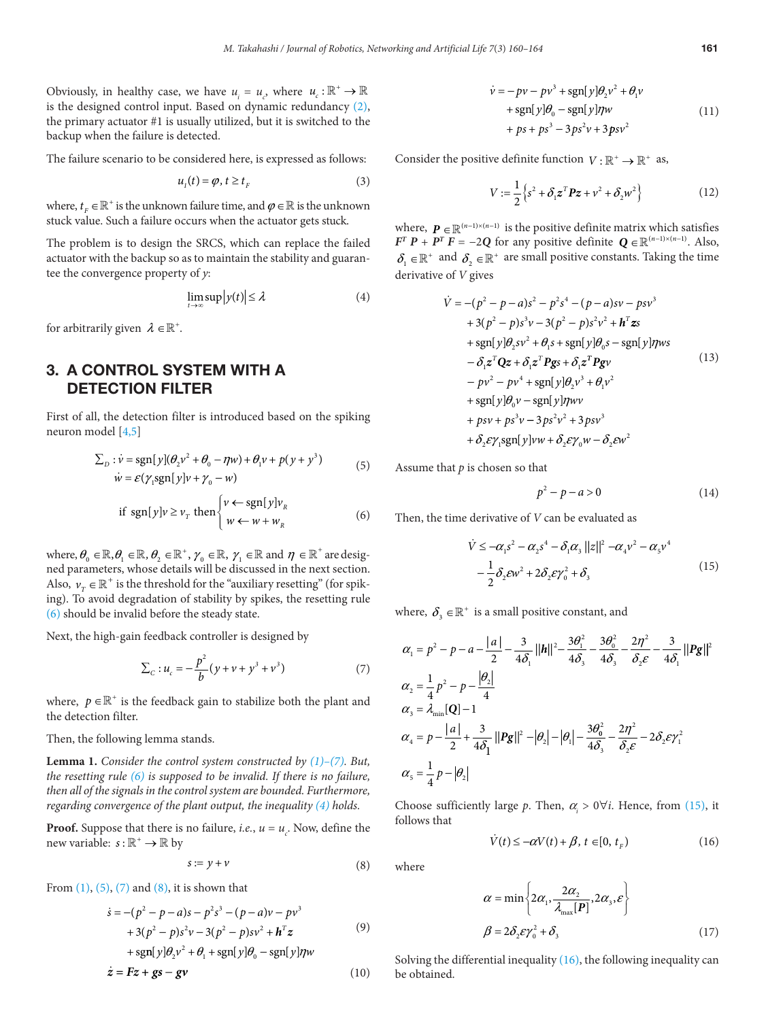<span id="page-1-0"></span>Obviously, in healthy case, we have  $u_i = u_c$ , where  $u_c : \mathbb{R}^+ \to \mathbb{R}$ is the designed control input. Based on dynamic redundancy (2), the primary actuator #1 is usually utilized, but it is switched to the backup when the failure is detected.

The failure scenario to be considered here, is expressed as follows:

$$
u_1(t) = \varphi, t \ge t_{\scriptscriptstyle F} \tag{3}
$$

where,  $t_F \in \mathbb{R}^+$  is the unknown failure time, and  $\varphi \in \mathbb{R}$  is the unknown stuck value. Such a failure occurs when the actuator gets stuck.

The problem is to design the SRCS, which can replace the failed actuator with the backup so as to maintain the stability and guarantee the convergence property of *y*:

$$
\lim_{t \to \infty} \sup |y(t)| \le \lambda \tag{4}
$$

for arbitrarily given  $\lambda \in \mathbb{R}^+$ .

### 3. A CONTROL SYSTEM WITH A DETECTION FILTER

First of all, the detection filter is introduced based on the spiking neuron model [\[4,](#page-3-3)[5\]](#page-3-4)

<span id="page-1-1"></span>
$$
\sum_{D} : \dot{v} = \text{sgn}[y](\theta_2 v^2 + \theta_0 - \eta w) + \theta_1 v + p(y + y^3)
$$
  

$$
\dot{w} = \mathcal{E}(\gamma_1 \text{sgn}[y]v + \gamma_0 - w)
$$
 (5)

if sgn[
$$
y
$$
] $v \ge v_T$  then 
$$
\begin{cases} v \leftarrow \text{sgn}[y]v_R \\ w \leftarrow w + w_R \end{cases}
$$
 (6)

where,  $\theta_0 \in \mathbb{R}, \theta_1 \in \mathbb{R}, \theta_2 \in \mathbb{R}^+, \gamma_0 \in \mathbb{R}, \gamma_1 \in \mathbb{R}$  and  $\eta \in \mathbb{R}^+$  are designed parameters, whose details will be discussed in the next section. Also,  $v_r \in \mathbb{R}^+$  is the threshold for the "auxiliary resetting" (for spiking). To avoid degradation of stability by spikes, the resetting rule (6) should be invalid before the steady state.

Next, the high-gain feedback controller is designed by

$$
\sum_{c} : u_c = -\frac{p^2}{b} (y + v + y^3 + v^3)
$$
 (7)

where,  $p \in \mathbb{R}^+$  is the feedback gain to stabilize both the plant and the detection filter.

Then, the following lemma stands.

**Lemma 1.** *Consider the control system constructed by (1)–(7). But, the resetting rule (6) is supposed to be invalid. If there is no failure, then all of the signals in the control system are bounded. Furthermore, regarding convergence of the plant output, the inequality (4) holds.*

**Proof.** Suppose that there is no failure, *i.e.*,  $u = u_c$ . Now, define the new variable:  $s : \mathbb{R}^+ \to \mathbb{R}$  by

$$
s := y + v \tag{8}
$$

From  $(1)$ ,  $(5)$ ,  $(7)$  and  $(8)$ , it is shown that

$$
\dot{s} = -(p^2 - p - a)s - p^2s^3 - (p - a)v - pv^3 + 3(p^2 - p)s^2v - 3(p^2 - p)sv^2 + h^Tz + sgn[y]\theta_2v^2 + \theta_1 + sgn[y]\theta_0 - sgn[y]\eta w
$$
 (9)

$$
\dot{z} = Fz + gs - gv \tag{10}
$$

$$
\dot{v} = -pv - pv^3 + \text{sgn}[y]\theta_2 v^2 + \theta_1 v
$$
  
+ 
$$
\text{sgn}[y]\theta_0 - \text{sgn}[y]\eta w
$$
  
+ 
$$
ps + ps^3 - 3ps^2 v + 3psv^2
$$
 (11)

Consider the positive definite function  $V: \mathbb{R}^+ \to \mathbb{R}^+$  as,

$$
V := \frac{1}{2} \left\{ s^2 + \delta_1 z^T P z + v^2 + \delta_2 w^2 \right\}
$$
 (12)

where,  $P \in \mathbb{R}^{(n-1)\times (n-1)}$  is the positive definite matrix which satisfies *F<sup>T</sup> P* + *P<sup>T</sup> F* = −2*Q* for any positive definite  $Q \in \mathbb{R}^{(n-1)\times(n-1)}$ . Also,  $\delta_1 \in \mathbb{R}^+$  and  $\delta_2 \in \mathbb{R}^+$  are small positive constants. Taking the time derivative of *V* gives

$$
\dot{V} = -(p^2 - p - a)s^2 - p^2s^4 - (p - a)sv - psv^3 \n+ 3(p^2 - p)s^3v - 3(p^2 - p)s^2v^2 + h^T\mathbf{zs} \n+ sgn[y]\theta_2sv^2 + \theta_1s + sgn[y]\theta_0s - sgn[y]\eta ws \n- \delta_1z^T\mathbf{Qz} + \delta_1z^T\mathbf{Pgs} + \delta_1z^T\mathbf{Pgv} \n- pv^2 - pv^4 + sgn[y]\theta_2v^3 + \theta_1v^2 \n+ sgn[y]\theta_0v - sgn[y]\eta wv \n+ psv + ps^3v - 3ps^2v^2 + 3psv^3 \n+ \delta_2\mathcal{E}\gamma_1 sgn[y]\nu w + \delta_2\mathcal{E}\gamma_0w - \delta_2\mathcal{E}w^2
$$

Assume that *p* is chosen so that

$$
p^2 - p - a > 0 \tag{14}
$$

Then, the time derivative of *V* can be evaluated as

$$
\dot{V} \le -\alpha_1 s^2 - \alpha_2 s^4 - \delta_1 \alpha_3 ||z||^2 - \alpha_4 v^2 - \alpha_5 v^4
$$
  

$$
-\frac{1}{2}\delta_2 \varepsilon w^2 + 2\delta_2 \varepsilon \gamma_0^2 + \delta_3
$$
 (15)

where,  $\delta_3 \in \mathbb{R}^+$  is a small positive constant, and

$$
\alpha_1 = p^2 - p - a - \frac{|a|}{2} - \frac{3}{4\delta_1} ||h||^2 - \frac{3\theta_1^2}{4\delta_3} - \frac{3\theta_0^2}{4\delta_3} - \frac{2\eta^2}{\delta_2 \varepsilon} - \frac{3}{4\delta_1} ||Pg||^2
$$
  
\n
$$
\alpha_2 = \frac{1}{4}p^2 - p - \frac{|\theta_2|}{4}
$$
  
\n
$$
\alpha_3 = \lambda_{\min}[\mathbf{Q}] - 1
$$
  
\n
$$
\alpha_4 = p - \frac{|a|}{2} + \frac{3}{4\delta_1} ||Pg||^2 - |\theta_2| - |\theta_1| - \frac{3\theta_0^2}{4\delta_3} - \frac{2\eta^2}{\delta_2 \varepsilon} - 2\delta_2 \varepsilon \gamma_1^2
$$
  
\n
$$
\alpha_5 = \frac{1}{4}p - |\theta_2|
$$

Choose sufficiently large *p*. Then,  $\alpha_i > 0 \forall i$ . Hence, from (15), it follows that

$$
\dot{V}(t) \le -\alpha V(t) + \beta, \ t \in [0, t_F) \tag{16}
$$

where

$$
\alpha = \min \left\{ 2\alpha_1, \frac{2\alpha_2}{\lambda_{\text{max}}[P]}, 2\alpha_3, \varepsilon \right\}
$$

$$
\beta = 2\delta_2 \varepsilon \gamma_0^2 + \delta_3 \tag{17}
$$

Solving the differential inequality  $(16)$ , the following inequality can be obtained.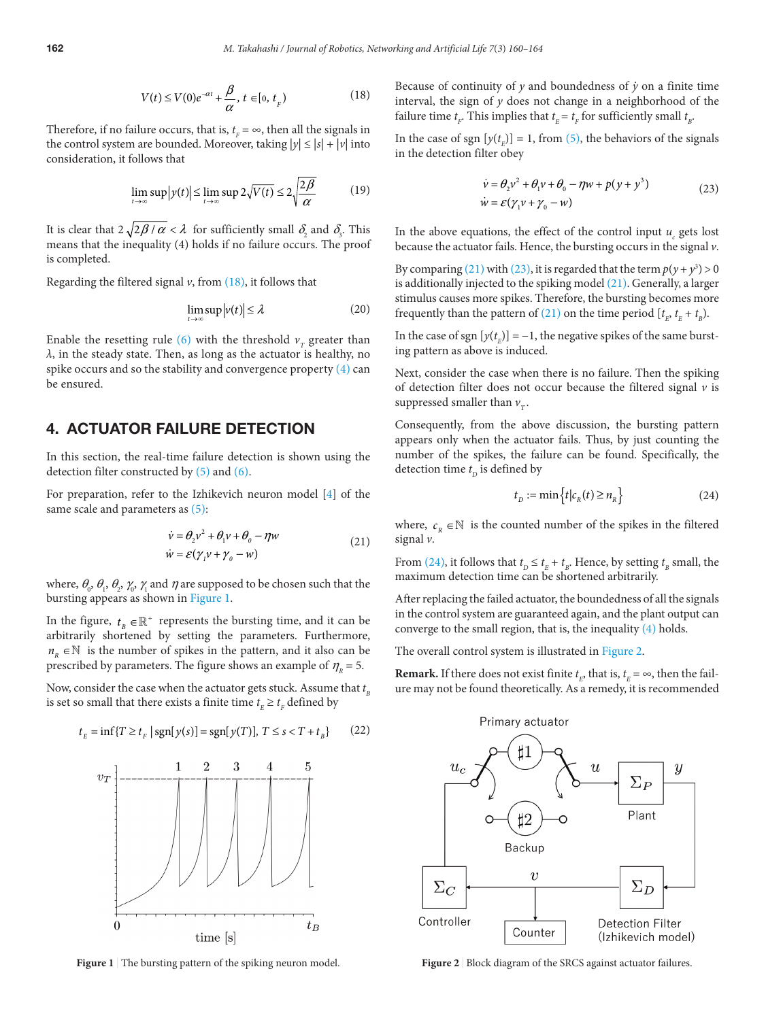$$
V(t) \le V(0)e^{-\alpha t} + \frac{\beta}{\alpha}, t \in [0, t_{F}]
$$
\n(18)

Therefore, if no failure occurs, that is,  $t_F = \infty$ , then all the signals in the control system are bounded. Moreover, taking  $|y| \le |s| + |v|$  into consideration, it follows that

$$
\lim_{t \to \infty} \sup |y(t)| \le \lim_{t \to \infty} \sup 2\sqrt{V(t)} \le 2\sqrt{\frac{2\beta}{\alpha}} \tag{19}
$$

It is clear that  $2\sqrt{2\beta/\alpha} < \lambda$  for sufficiently small  $\delta_2$  and  $\delta_3$ . This means that the inequality (4) holds if no failure occurs. The proof is completed.

Regarding the filtered signal  $v$ , from  $(18)$ , it follows that

$$
\lim_{t \to \infty} \sup |v(t)| \le \lambda \tag{20}
$$

Enable the resetting rule [\(6\)](#page-1-0) with the threshold  $v<sub>r</sub>$  greater than *λ*, in the steady state. Then, as long as the actuator is healthy, no spike occurs and so the stability and convergence property [\(4\)](#page-1-0) can be ensured.

#### 4. ACTUATOR FAILURE DETECTION

In this section, the real-time failure detection is shown using the detection filter constructed by [\(5\)](#page-1-0) and [\(6\)](#page-1-0).

For preparation, refer to the Izhikevich neuron model [[4\]](#page-3-3) of the same scale and parameters as  $(5)$ :

$$
\dot{\nu} = \theta_2 v^2 + \theta_1 v + \theta_0 - \eta w
$$
  
\n
$$
\dot{w} = \varepsilon (\gamma_1 v + \gamma_0 - w)
$$
\n(21)

where,  $\theta_0$ ,  $\theta_1$ ,  $\theta_2$ ,  $\gamma_0$ ,  $\gamma_1$  and  $\eta$  are supposed to be chosen such that the bursting appears as shown in [Figure 1](#page-2-0).

In the figure,  $t_{B} \in \mathbb{R}^{+}$  represents the bursting time, and it can be arbitrarily shortened by setting the parameters. Furthermore,  $n_R \in \mathbb{N}$  is the number of spikes in the pattern, and it also can be prescribed by parameters. The figure shows an example of  $\eta<sub>R</sub> = 5$ .

Now, consider the case when the actuator gets stuck. Assume that  $t_{\scriptscriptstyle B}$ is set so small that there exists a finite time  $t_{E} \geq t_{F}$  defined by

$$
t_E = \inf\{T \ge t_F \,|\, \text{sgn}[y(s)] = \text{sgn}[y(T)],\, T \le s < T + t_B\} \tag{22}
$$



<span id="page-2-0"></span>Figure 1 The bursting pattern of the spiking neuron model.

Because of continuity of  $y$  and boundedness of  $\dot{y}$  on a finite time interval, the sign of *y* does not change in a neighborhood of the failure time  $t_F$ . This implies that  $t_E = t_F$  for sufficiently small  $t_B$ .

In the case of sgn  $[y(t_{E})] = 1$ , from [\(5\)](#page-1-0), the behaviors of the signals in the detection filter obey

$$
\dot{\nu} = \theta_2 v^2 + \theta_1 v + \theta_0 - \eta w + p(y + y^3)
$$
  
\n
$$
\dot{w} = \varepsilon (\gamma_1 v + \gamma_0 - w)
$$
\n(23)

In the above equations, the effect of the control input  $u_c$  gets lost because the actuator fails. Hence, the bursting occurs in the signal *v*.

By comparing (21) with (23), it is regarded that the term  $p(y + y^3) > 0$ is additionally injected to the spiking model (21). Generally, a larger stimulus causes more spikes. Therefore, the bursting becomes more frequently than the pattern of (21) on the time period  $[t_E, t_E + t_B]$ .

In the case of sgn  $[y(t_E)] = -1$ , the negative spikes of the same bursting pattern as above is induced.

Next, consider the case when there is no failure. Then the spiking of detection filter does not occur because the filtered signal  $\nu$  is suppressed smaller than  $v_T$ .

Consequently, from the above discussion, the bursting pattern appears only when the actuator fails. Thus, by just counting the number of the spikes, the failure can be found. Specifically, the detection time  $t$ <sup>*D*</sup> is defined by

$$
t_D := \min\left\{ t | c_R(t) \ge n_R \right\} \tag{24}
$$

where,  $c_R \in \mathbb{N}$  is the counted number of the spikes in the filtered signal *v*.

From (24), it follows that  $t_D \leq t_E + t_B$ . Hence, by setting  $t_B$  small, the maximum detection time can be shortened arbitrarily.

After replacing the failed actuator, the boundedness of all the signals in the control system are guaranteed again, and the plant output can converge to the small region, that is, the inequality [\(4\)](#page-1-0) holds.

The overall control system is illustrated in [Figure 2](#page-2-1).

**Remark.** If there does not exist finite  $t_E$ , that is,  $t_E = \infty$ , then the failure may not be found theoretically. As a remedy, it is recommended



<span id="page-2-1"></span>**Figure 2** | Block diagram of the SRCS against actuator failures.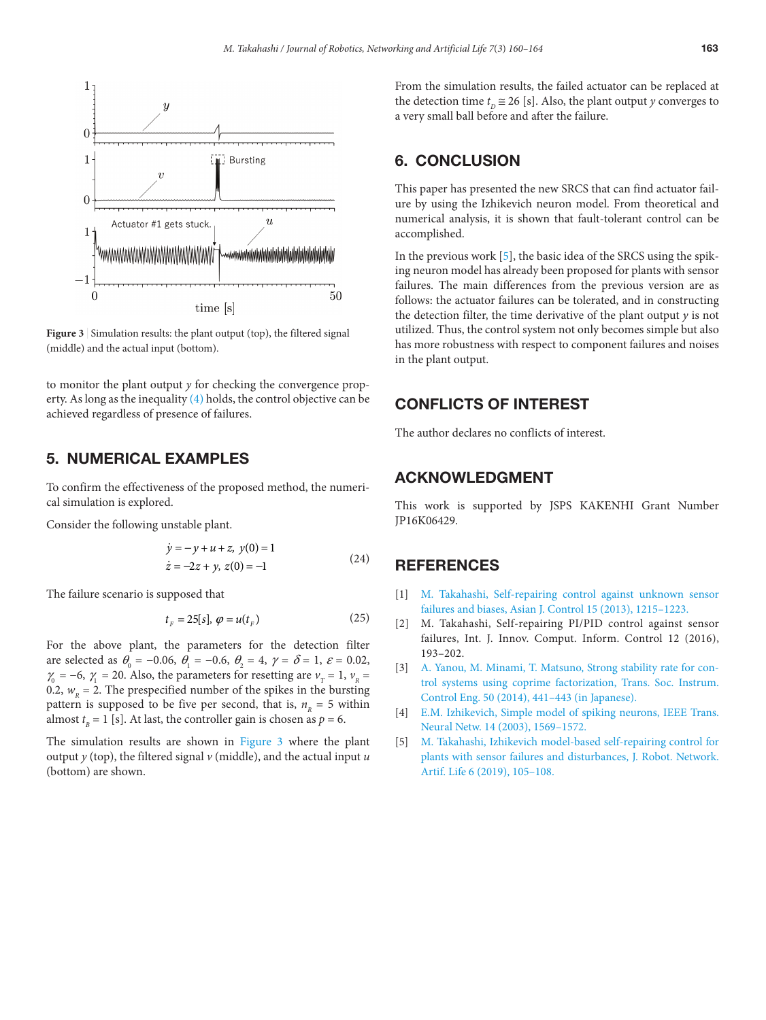

<span id="page-3-5"></span>Figure 3 | Simulation results: the plant output (top), the filtered signal (middle) and the actual input (bottom).

to monitor the plant output *y* for checking the convergence property. As long as the inequality [\(4\)](#page-1-0) holds, the control objective can be achieved regardless of presence of failures.

#### 5. NUMERICAL EXAMPLES

To confirm the effectiveness of the proposed method, the numerical simulation is explored.

Consider the following unstable plant.

$$
\dot{y} = -y + u + z, \ y(0) = 1
$$
  

$$
\dot{z} = -2z + y, \ z(0) = -1
$$
 (24)

The failure scenario is supposed that

$$
t_F = 25[s], \varphi = u(t_F) \tag{25}
$$

For the above plant, the parameters for the detection filter are selected as  $\theta_0 = -0.06$ ,  $\theta_1 = -0.6$ ,  $\theta_2 = 4$ ,  $\gamma = \delta = 1$ ,  $\varepsilon = 0.02$ ,  $\gamma_0 = -6$ ,  $\gamma_1 = 20$ . Also, the parameters for resetting are  $v_r = 1$ ,  $v_p =$ 0.2,  $w_p = 2$ . The prespecified number of the spikes in the bursting pattern is supposed to be five per second, that is,  $n<sub>R</sub> = 5$  within almost  $t_{B} = 1$  [s]. At last, the controller gain is chosen as  $p = 6$ .

The simulation results are shown in [Figure 3](#page-3-5) where the plant output *y* (top), the filtered signal *v* (middle), and the actual input *u* (bottom) are shown.

From the simulation results, the failed actuator can be replaced at the detection time  $t_{\text{D}} \approx 26$  [s]. Also, the plant output *y* converges to a very small ball before and after the failure.

#### 6. CONCLUSION

This paper has presented the new SRCS that can find actuator failure by using the Izhikevich neuron model. From theoretical and numerical analysis, it is shown that fault-tolerant control can be accomplished.

In the previous work [\[5\]](#page-3-4), the basic idea of the SRCS using the spiking neuron model has already been proposed for plants with sensor failures. The main differences from the previous version are as follows: the actuator failures can be tolerated, and in constructing the detection filter, the time derivative of the plant output *y* is not utilized. Thus, the control system not only becomes simple but also has more robustness with respect to component failures and noises in the plant output.

#### CONFLICTS OF INTEREST

The author declares no conflicts of interest.

### ACKNOWLEDGMENT

This work is supported by JSPS KAKENHI Grant Number JP16K06429.

#### **REFERENCES**

- <span id="page-3-0"></span>[\[1\]](#page-0-0) [M. Takahashi, Self-repairing control against unknown sensor](https://doi.org/10.1002/asjc.638) [failures and biases, Asian J. Control 15 \(2013\), 1215–1223.](https://doi.org/10.1002/asjc.638)
- <span id="page-3-1"></span>[\[2\]](#page-0-1) M. Takahashi, Self-repairing PI/PID control against sensor failures, Int. J. Innov. Comput. Inform. Control 12 (2016), 193–202.
- <span id="page-3-2"></span>[\[3\]](#page-0-2) [A. Yanou, M. Minami, T. Matsuno, Strong stability rate for con](https://doi.org/10.9746/sicetr.50.441)[trol systems using coprime factorization, Trans. Soc. Instrum.](https://doi.org/10.9746/sicetr.50.441) [Control Eng. 50 \(2014\), 441–443 \(in Japanese\).](https://doi.org/10.9746/sicetr.50.441)
- <span id="page-3-3"></span>[\[4\]](#page-0-3) [E.M. Izhikevich, Simple model of spiking neurons, IEEE Trans.](https://doi.org/10.1109/TNN.2003.820440) [Neural Netw. 14 \(2003\), 1569–1572.](https://doi.org/10.1109/TNN.2003.820440)
- <span id="page-3-4"></span>[\[5\]](#page-1-1) [M. Takahashi, Izhikevich model-based self-repairing control for](https://doi.org/10.2991/jrnal.k.190828.007) [plants with sensor failures and disturbances, J. Robot. Network.](https://doi.org/10.2991/jrnal.k.190828.007) [Artif. Life 6 \(2019\), 105–108.](https://doi.org/10.2991/jrnal.k.190828.007)